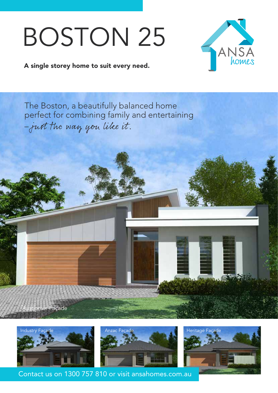## BOSTON 25



A single storey home to suit every need.











Contact us on 1300 757 810 or visit ansahomes.com.au